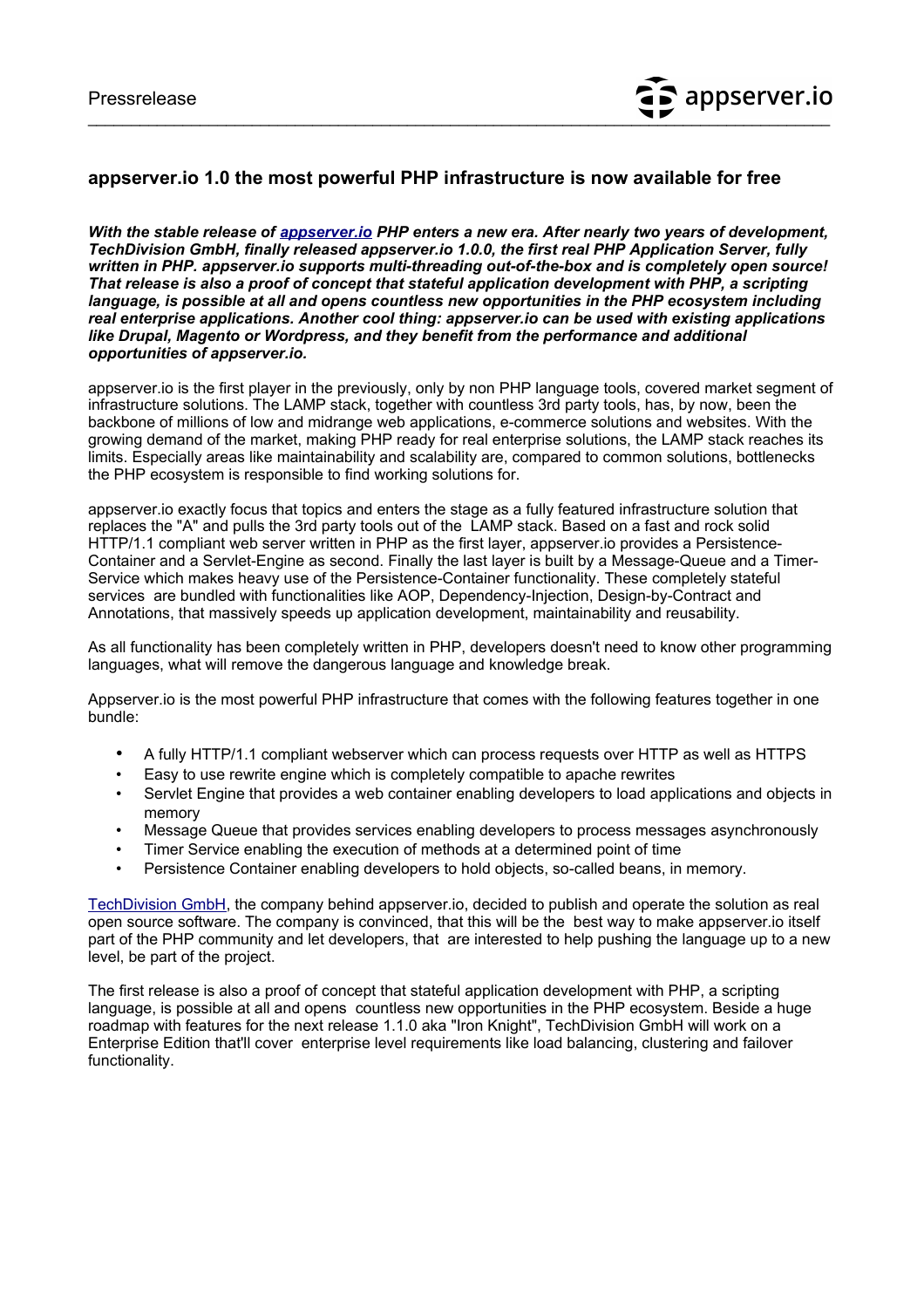## **appserver.io 1.0 the most powerful PHP infrastructure is now available for free**

*With the stable release of [appserver.io](http://appserver.io/) PHP enters a new era. After nearly two years of development, TechDivision GmbH, finally released appserver.io 1.0.0, the first real PHP Application Server, fully written in PHP. appserver.io supports multi-threading out-of-the-box and is completely open source! That release is also a proof of concept that stateful application development with PHP, a scripting language, is possible at all and opens countless new opportunities in the PHP ecosystem including real enterprise applications. Another cool thing: appserver.io can be used with existing applications like Drupal, Magento or Wordpress, and they benefit from the performance and additional opportunities of appserver.io.*

appserver.io is the first player in the previously, only by non PHP language tools, covered market segment of infrastructure solutions. The LAMP stack, together with countless 3rd party tools, has, by now, been the backbone of millions of low and midrange web applications, e-commerce solutions and websites. With the growing demand of the market, making PHP ready for real enterprise solutions, the LAMP stack reaches its limits. Especially areas like maintainability and scalability are, compared to common solutions, bottlenecks the PHP ecosystem is responsible to find working solutions for.

appserver.io exactly focus that topics and enters the stage as a fully featured infrastructure solution that replaces the "A" and pulls the 3rd party tools out of the LAMP stack. Based on a fast and rock solid HTTP/1.1 compliant web server written in PHP as the first layer, appserver.io provides a Persistence-Container and a Servlet-Engine as second. Finally the last layer is built by a Message-Queue and a Timer-Service which makes heavy use of the Persistence-Container functionality. These completely stateful services are bundled with functionalities like AOP, Dependency-Injection, Design-by-Contract and Annotations, that massively speeds up application development, maintainability and reusability.

As all functionality has been completely written in PHP, developers doesn't need to know other programming languages, what will remove the dangerous language and knowledge break.

Appserver.io is the most powerful PHP infrastructure that comes with the following features together in one bundle:

- A fully HTTP/1.1 compliant webserver which can process requests over HTTP as well as HTTPS
- Easy to use rewrite engine which is completely compatible to apache rewrites
- Servlet Engine that provides a web container enabling developers to load applications and objects in memory
- Message Queue that provides services enabling developers to process messages asynchronously
- Timer Service enabling the execution of methods at a determined point of time
- Persistence Container enabling developers to hold objects, so-called beans, in memory.

[TechDivision GmbH,](http://www.techdivision.com/) the company behind appserver.io, decided to publish and operate the solution as real open source software. The company is convinced, that this will be the best way to make appserver.io itself part of the PHP community and let developers, that are interested to help pushing the language up to a new level, be part of the project.

The first release is also a proof of concept that stateful application development with PHP, a scripting language, is possible at all and opens countless new opportunities in the PHP ecosystem. Beside a huge roadmap with features for the next release 1.1.0 aka "Iron Knight", TechDivision GmbH will work on a Enterprise Edition that'll cover enterprise level requirements like load balancing, clustering and failover functionality.